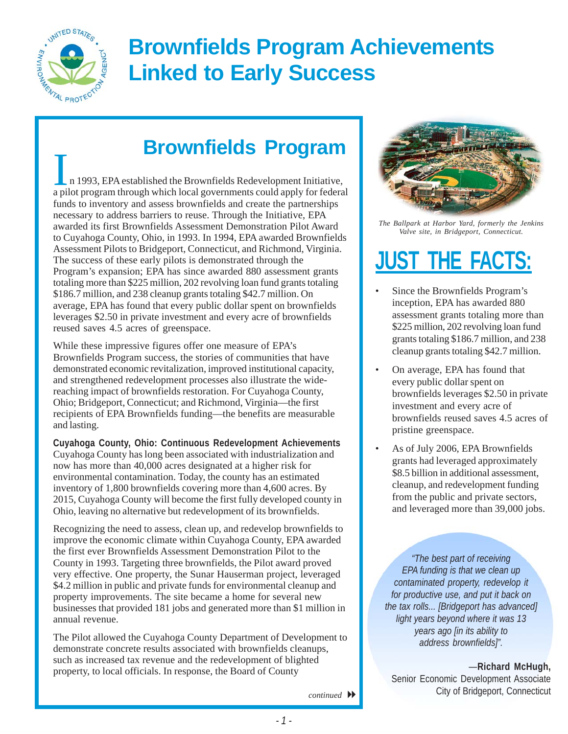

## **Brownfields Program Achievements Linked to Early Success**

### **Brownfields Program**

n 1993, EPA established the Brownfields Redevelopment Initiative, a pilot program through which local governments could apply for federal funds to inventory and assess brownfields and create the partnerships necessary to address barriers to reuse. Through the Initiative, EPA awarded its first Brownfields Assessment Demonstration Pilot Award to Cuyahoga County, Ohio, in 1993. In 1994, EPA awarded Brownfields Assessment Pilots to Bridgeport, Connecticut, and Richmond, Virginia. The success of these early pilots is demonstrated through the Program's expansion; EPA has since awarded 880 assessment grants totaling more than \$225 million, 202 revolving loan fund grants totaling \$186.7 million, and 238 cleanup grants totaling \$42.7 million. On average, EPA has found that every public dollar spent on brownfields leverages \$2.50 in private investment and every acre of brownfields reused saves 4.5 acres of greenspace.

While these impressive figures offer one measure of EPA's Brownfields Program success, the stories of communities that have demonstrated economic revitalization, improved institutional capacity, and strengthened redevelopment processes also illustrate the widereaching impact of brownfields restoration. For Cuyahoga County, Ohio; Bridgeport, Connecticut; and Richmond, Virginia—the first recipients of EPA Brownfields funding—the benefits are measurable and lasting.

**Cuyahoga County, Ohio: Continuous Redevelopment Achievements**  Cuyahoga County has long been associated with industrialization and now has more than 40,000 acres designated at a higher risk for environmental contamination. Today, the county has an estimated inventory of 1,800 brownfields covering more than 4,600 acres. By 2015, Cuyahoga County will become the first fully developed county in Ohio, leaving no alternative but redevelopment of its brownfields.

Recognizing the need to assess, clean up, and redevelop brownfields to improve the economic climate within Cuyahoga County, EPA awarded the first ever Brownfields Assessment Demonstration Pilot to the County in 1993. Targeting three brownfields, the Pilot award proved very effective. One property, the Sunar Hauserman project, leveraged \$4.2 million in public and private funds for environmental cleanup and property improvements. The site became a home for several new businesses that provided 181 jobs and generated more than \$1 million in annual revenue.

The Pilot allowed the Cuyahoga County Department of Development to demonstrate concrete results associated with brownfields cleanups, such as increased tax revenue and the redevelopment of blighted property, to local officials. In response, the Board of County



*The Ballpark at Harbor Yard, formerly the Jenkins Valve site, in Bridgeport, Connecticut.* 

# **JUST THE FACTS:**

- Since the Brownfields Program's inception, EPA has awarded 880 assessment grants totaling more than \$225 million, 202 revolving loan fund grants totaling \$186.7 million, and 238 cleanup grants totaling \$42.7 million.
- On average, EPA has found that every public dollar spent on brownfields leverages \$2.50 in private investment and every acre of brownfields reused saves 4.5 acres of pristine greenspace.
- As of July 2006, EPA Brownfields grants had leveraged approximately \$8.5 billion in additional assessment, cleanup, and redevelopment funding from the public and private sectors, and leveraged more than 39,000 jobs.

*"The best part of receiving EPA funding is that we clean up contaminated property, redevelop it for productive use, and put it back on the tax rolls... [Bridgeport has advanced] light years beyond where it was 13 years ago [in its ability to address brownfields]".* 

#### —**Richard McHugh,**

Senior Economic Development Associate City of Bridgeport, Connecticut

*continued* •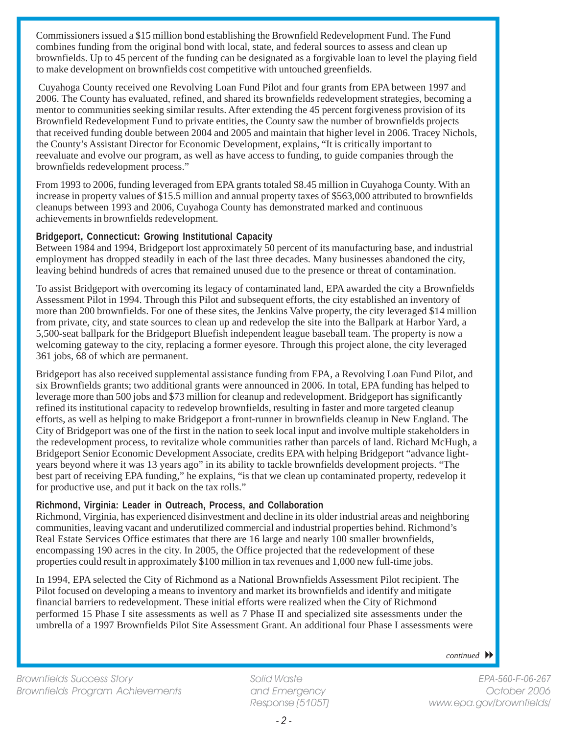Commissioners issued a \$15 million bond establishing the Brownfield Redevelopment Fund. The Fund combines funding from the original bond with local, state, and federal sources to assess and clean up brownfields. Up to 45 percent of the funding can be designated as a forgivable loan to level the playing field to make development on brownfields cost competitive with untouched greenfields.

 Cuyahoga County received one Revolving Loan Fund Pilot and four grants from EPA between 1997 and 2006. The County has evaluated, refined, and shared its brownfields redevelopment strategies, becoming a mentor to communities seeking similar results. After extending the 45 percent forgiveness provision of its Brownfield Redevelopment Fund to private entities, the County saw the number of brownfields projects that received funding double between 2004 and 2005 and maintain that higher level in 2006. Tracey Nichols, the County's Assistant Director for Economic Development, explains, "It is critically important to reevaluate and evolve our program, as well as have access to funding, to guide companies through the brownfields redevelopment process."

From 1993 to 2006, funding leveraged from EPA grants totaled \$8.45 million in Cuyahoga County. With an increase in property values of \$15.5 million and annual property taxes of \$563,000 attributed to brownfields cleanups between 1993 and 2006, Cuyahoga County has demonstrated marked and continuous achievements in brownfields redevelopment.

#### **Bridgeport, Connecticut: Growing Institutional Capacity**

Between 1984 and 1994, Bridgeport lost approximately 50 percent of its manufacturing base, and industrial employment has dropped steadily in each of the last three decades. Many businesses abandoned the city, leaving behind hundreds of acres that remained unused due to the presence or threat of contamination.

To assist Bridgeport with overcoming its legacy of contaminated land, EPA awarded the city a Brownfields Assessment Pilot in 1994. Through this Pilot and subsequent efforts, the city established an inventory of more than 200 brownfields. For one of these sites, the Jenkins Valve property, the city leveraged \$14 million from private, city, and state sources to clean up and redevelop the site into the Ballpark at Harbor Yard, a 5,500-seat ballpark for the Bridgeport Bluefish independent league baseball team. The property is now a welcoming gateway to the city, replacing a former eyesore. Through this project alone, the city leveraged 361 jobs, 68 of which are permanent.

Bridgeport has also received supplemental assistance funding from EPA, a Revolving Loan Fund Pilot, and six Brownfields grants; two additional grants were announced in 2006. In total, EPA funding has helped to leverage more than 500 jobs and \$73 million for cleanup and redevelopment. Bridgeport has significantly refined its institutional capacity to redevelop brownfields, resulting in faster and more targeted cleanup efforts, as well as helping to make Bridgeport a front-runner in brownfields cleanup in New England. The City of Bridgeport was one of the first in the nation to seek local input and involve multiple stakeholders in the redevelopment process, to revitalize whole communities rather than parcels of land. Richard McHugh, a Bridgeport Senior Economic Development Associate, credits EPA with helping Bridgeport "advance lightyears beyond where it was 13 years ago" in its ability to tackle brownfields development projects. "The best part of receiving EPA funding," he explains, "is that we clean up contaminated property, redevelop it for productive use, and put it back on the tax rolls."

#### **Richmond, Virginia: Leader in Outreach, Process, and Collaboration**

Richmond, Virginia, has experienced disinvestment and decline in its older industrial areas and neighboring communities, leaving vacant and underutilized commercial and industrial properties behind. Richmond's Real Estate Services Office estimates that there are 16 large and nearly 100 smaller brownfields, encompassing 190 acres in the city. In 2005, the Office projected that the redevelopment of these properties could result in approximately \$100 million in tax revenues and 1,000 new full-time jobs.

In 1994, EPA selected the City of Richmond as a National Brownfields Assessment Pilot recipient. The Pilot focused on developing a means to inventory and market its brownfields and identify and mitigate financial barriers to redevelopment. These initial efforts were realized when the City of Richmond performed 15 Phase I site assessments as well as 7 Phase II and specialized site assessments under the umbrella of a 1997 Brownfields Pilot Site Assessment Grant. An additional four Phase I assessments were

*continued* •

*Solid Waste and Emergency Response (5105T)*